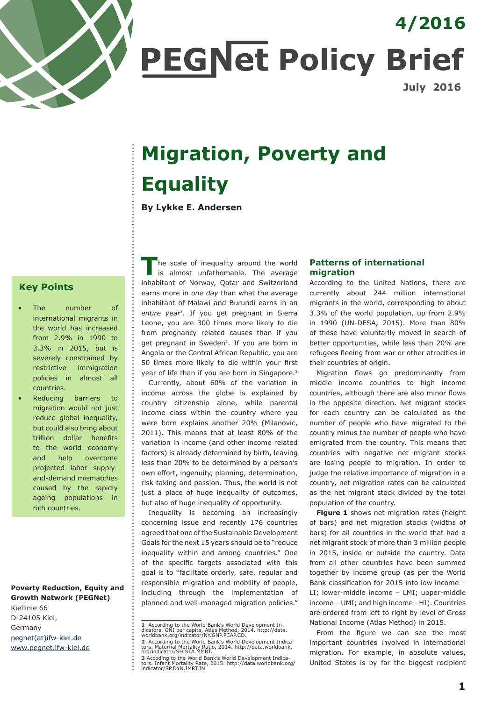

**PEGNet Policy Brief** 

**July 2016**

**4/2016**

# **Migration, Poverty and Equality**

**By Lykke E. Andersen**

# **Key Points**

- The number of international migrants in the world has increased from 2.9% in 1990 to 3.3% in 2015, but is severely constrained by restrictive immigration policies in almost all countries.
- Reducing barriers to migration would not just reduce global inequality, but could also bring about trillion dollar benefits to the world economy and help overcome projected labor supplyand-demand mismatches caused by the rapidly ageing populations in rich countries.

**Poverty Reduction, Equity and Growth Network (PEGNet)** Kiellinie 66 D-24105 Kiel, Germany pegnet(at)ifw-kiel.de www.pegnet.ifw-kiel.de

**T**he scale of inequality around the world is almost unfathomable. The average inhabitant of Norway, Qatar and Switzerland earns more in *one day* than what the average inhabitant of Malawi and Burundi earns in an *entire year1.* If you get pregnant in Sierra Leone, you are 300 times more likely to die from pregnancy related causes than if you get pregnant in Sweden2. If you are born in Angola or the Central African Republic, you are 50 times more likely to die within your first year of life than if you are born in Singapore.<sup>3</sup>

Currently, about 60% of the variation in income across the globe is explained by country citizenship alone, while parental income class within the country where you were born explains another 20% (Milanovic, 2011). This means that at least 80% of the variation in income (and other income related factors) is already determined by birth, leaving less than 20% to be determined by a person's own effort, ingenuity, planning, determination, risk-taking and passion. Thus, the world is not just a place of huge inequality of outcomes, but also of huge inequality of opportunity.

Inequality is becoming an increasingly concerning issue and recently 176 countries agreed that one of the Sustainable Development Goals for the next 15 years should be to "reduce inequality within and among countries." One of the specific targets associated with this goal is to "facilitate orderly, safe, regular and responsible migration and mobility of people, including through the implementation of planned and well-managed migration policies."

## **Patterns of international migration**

According to the United Nations, there are currently about 244 million international migrants in the world, corresponding to about 3.3% of the world population, up from 2.9% in 1990 (UN-DESA, 2015). More than 80% of these have voluntarily moved in search of better opportunities, while less than 20% are refugees fleeing from war or other atrocities in their countries of origin.

Migration flows go predominantly from middle income countries to high income countries, although there are also minor flows in the opposite direction. Net migrant stocks for each country can be calculated as the number of people who have migrated to the country minus the number of people who have emigrated from the country. This means that countries with negative net migrant stocks are losing people to migration. In order to judge the relative importance of migration in a country, net migration rates can be calculated as the net migrant stock divided by the total population of the country.

**[Figure 1](#page-1-0)** shows net migration rates (height of bars) and net migration stocks (widths of bars) for all countries in the world that had a net migrant stock of more than 3 million people in 2015, inside or outside the country. Data from all other countries have been summed together by income group (as per the World Bank classification for 2015 into low income – LI; lower-middle income – LMI; upper-middle income – UMI; and high income - HI). Countries are ordered from left to right by level of Gross National Income (Atlas Method) in 2015.

From the figure we can see the most important countries involved in international migration. For example, in absolute values, United States is by far the biggest recipient

**<sup>1</sup>** According to the World Bank's World Development In-<br>dicators. GNI per capita, Atlas Method, 2014. http://data.<br>worldbank.org/indicator/NY.GNP.PCAP.CD.

**<sup>2</sup>** According to the World Bank's World Development Indica-<br>tors. Maternal Mortality Ratio, 2014. http://data.worldbank.<br>org/indicator/SH.STA.MMRT.

**<sup>3</sup>** Accoding to the World Bank's World Development Indica-<br>tors. Infant Mortality Rate, 2015: http://data.worldbank.org/<br>indicator/SP.DYN.IMRT.IN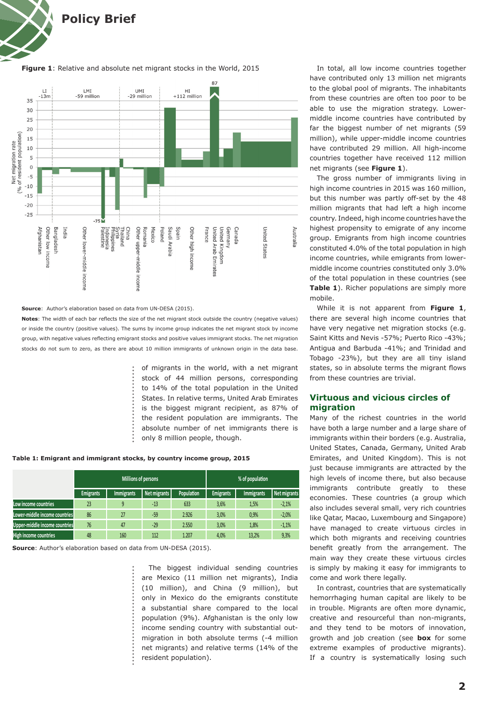<span id="page-1-0"></span>

#### **Figure 1**: Relative and absolute net migrant stocks in the World, 2015



#### **Source**: Author's elaboration based on data from UN-DESA (2015).

**Notes**: The width of each bar reflects the size of the net migrant stock outside the country (negative values) or inside the country (positive values). The sums by income group indicates the net migrant stock by income group, with negative values reflecting emigrant stocks and positive values immigrant stocks. The net migration stocks do not sum to zero, as there are about 10 million immigrants of unknown origin in the data base.

> of migrants in the world, with a net migrant stock of 44 million persons, corresponding to 14% of the total population in the United States. In relative terms, United Arab Emirates is the biggest migrant recipient, as 87% of the resident population are immigrants. The absolute number of net immigrants there is only 8 million people, though.

#### **Table 1: Emigrant and immigrant stocks, by country income group, 2015**

|                                      | <b>Millions of persons</b> |                   |              |                   | % of population  |                   |              |
|--------------------------------------|----------------------------|-------------------|--------------|-------------------|------------------|-------------------|--------------|
|                                      | <b>Emigrants</b>           | <b>Immigrants</b> | Net migrants | <b>Population</b> | <b>Emigrants</b> | <b>Immigrants</b> | Net migrants |
| Low income countries                 | 23                         | 9                 | $-13$        | 633               | 3,6%             | 1,5%              | $-2,1%$      |
| Lower-middle income countries        | 86                         | 27                | $-59$        | 2.926             | 3,0%             | 0.9%              | $-2,0%$      |
| <b>Upper-middle income countries</b> | 76                         | 47                | $-29$        | 2.550             | 3,0%             | 1,8%              | $-1,1%$      |
| <b>High income countries</b>         | 48                         | 160               | 112          | 1.207             | 4.0%             | 13.2%             | 9,3%         |

**Source**: Author's elaboration based on data from UN-DESA (2015).

The biggest individual sending countries are Mexico (11 million net migrants), India (10 million), and China (9 million), but only in Mexico do the emigrants constitute a substantial share compared to the local population (9%). Afghanistan is the only low income sending country with substantial outmigration in both absolute terms (-4 million net migrants) and relative terms (14% of the resident population).

In total, all low income countries together have contributed only 13 million net migrants to the global pool of migrants. The inhabitants from these countries are often too poor to be able to use the migration strategy. Lowermiddle income countries have contributed by far the biggest number of net migrants (59 million), while upper-middle income countries have contributed 29 million. All high-income countries together have received 112 million net migrants (see **Figure 1**).

The gross number of immigrants living in high income countries in 2015 was 160 million, but this number was partly off-set by the 48 million migrants that had left a high income country. Indeed, high income countries have the highest propensity to emigrate of any income group. Emigrants from high income countries constituted 4.0% of the total population in high income countries, while emigrants from lowermiddle income countries constituted only 3.0% of the total population in these countries (see **Table 1**). Richer populations are simply more mobile.

While it is not apparent from **Figure 1**, there are several high income countries that have very negative net migration stocks (e.g. Saint Kitts and Nevis -57%; Puerto Rico -43%; Antigua and Barbuda -41%; and Trinidad and Tobago -23%), but they are all tiny island states, so in absolute terms the migrant flows from these countries are trivial.

# **Virtuous and vicious circles of migration**

Many of the richest countries in the world have both a large number and a large share of immigrants within their borders (e.g. Australia, United States, Canada, Germany, United Arab Emirates, and United Kingdom). This is not just because immigrants are attracted by the high levels of income there, but also because immigrants contribute greatly to these economies. These countries (a group which also includes several small, very rich countries like Qatar, Macao, Luxembourg and Singapore) have managed to create virtuous circles in which both migrants and receiving countries benefit greatly from the arrangement. The main way they create these virtuous circles is simply by making it easy for immigrants to come and work there legally.

In contrast, countries that are systematically hemorrhaging human capital are likely to be in trouble. Migrants are often more dynamic, creative and resourceful than non-migrants, and they tend to be motors of innovation, growth and job creation (see **[box](#page-2-0)** for some extreme examples of productive migrants). If a country is systematically losing such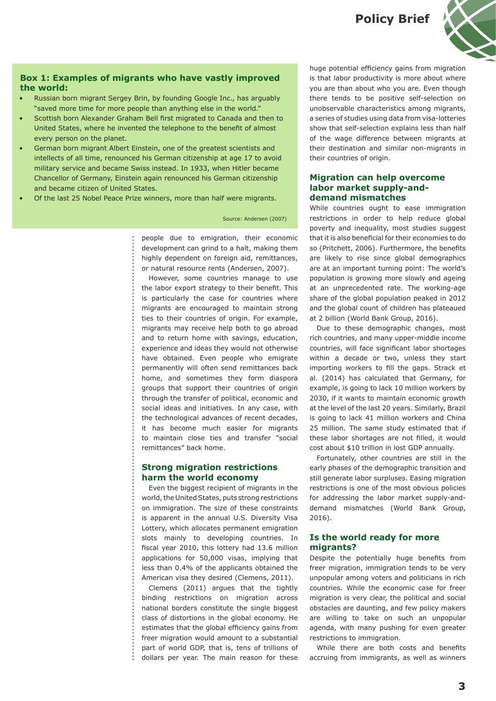**Policy Brief**



# <span id="page-2-0"></span>**Box 1: Examples of migrants who have vastly improved the world:**

- Russian born migrant Sergey Brin, by founding Google Inc., has arguably "saved more time for more people than anything else in the world."
- Scottish born Alexander Graham Bell first migrated to Canada and then to United States, where he invented the telephone to the benefit of almost every person on the planet.
- German born migrant Albert Einstein, one of the greatest scientists and intellects of all time, renounced his German citizenship at age 17 to avoid military service and became Swiss instead. In 1933, when Hitler became Chancellor of Germany, Einstein again renounced his German citizenship and became citizen of United States.
- Of the last 25 Nobel Peace Prize winners, more than half were migrants.

#### Source: Andersen (2007)

people due to emigration, their economic development can grind to a halt, making them highly dependent on foreign aid, remittances, or natural resource rents (Andersen, 2007).

However, some countries manage to use the labor export strategy to their benefit. This is particularly the case for countries where migrants are encouraged to maintain strong ties to their countries of origin. For example, migrants may receive help both to go abroad and to return home with savings, education, experience and ideas they would not otherwise have obtained. Even people who emigrate permanently will often send remittances back home, and sometimes they form diaspora groups that support their countries of origin through the transfer of political, economic and social ideas and initiatives. In any case, with the technological advances of recent decades, it has become much easier for migrants to maintain close ties and transfer "social remittances" back home.

# **Strong migration restrictions harm the world economy**

Even the biggest recipient of migrants in the world, the United States, puts strong restrictions on immigration. The size of these constraints is apparent in the annual U.S. Diversity Visa Lottery, which allocates permanent emigration slots mainly to developing countries. In fiscal year 2010, this lottery had 13.6 million applications for 50,000 visas, implying that less than 0.4% of the applicants obtained the American visa they desired (Clemens, 2011).

Clemens (2011) argues that the tightly binding restrictions on migration across national borders constitute the single biggest class of distortions in the global economy. He estimates that the global efficiency gains from freer migration would amount to a substantial part of world GDP, that is, tens of trillions of dollars per year. The main reason for these huge potential efficiency gains from migration is that labor productivity is more about where you are than about who you are. Even though there tends to be positive self-selection on unobservable characteristics among migrants, a series of studies using data from visa-lotteries show that self-selection explains less than half of the wage difference between migrants at their destination and similar non-migrants in their countries of origin.

# **Migration can help overcome labor market supply-anddemand mismatches**

While countries ought to ease immigration restrictions in order to help reduce global poverty and inequality, most studies suggest that it is also beneficial for their economies to do so (Pritchett, 2006). Furthermore, the benefits are likely to rise since global demographics are at an important turning point: The world's population is growing more slowly and ageing at an unprecedented rate. The working-age share of the global population peaked in 2012 and the global count of children has plateaued at 2 billion (World Bank Group, 2016).

Due to these demographic changes, most rich countries, and many upper-middle income countries, will face significant labor shortages within a decade or two, unless they start importing workers to fill the gaps. Strack et al. (2014) has calculated that Germany, for example, is going to lack 10 million workers by 2030, if it wants to maintain economic growth at the level of the last 20 years. Similarly, Brazil is going to lack 41 million workers and China 25 million. The same study estimated that if these labor shortages are not filled, it would cost about \$10 trillion in lost GDP annually.

Fortunately, other countries are still in the early phases of the demographic transition and still generate labor surpluses. Easing migration restrictions is one of the most obvious policies for addressing the labor market supply-anddemand mismatches (World Bank Group, 2016).

## **Is the world ready for more migrants?**

Despite the potentially huge benefits from freer migration, immigration tends to be very unpopular among voters and politicians in rich countries. While the economic case for freer migration is very clear, the political and social obstacles are daunting, and few policy makers are willing to take on such an unpopular agenda, with many pushing for even greater restrictions to immigration.

While there are both costs and benefits accruing from immigrants, as well as winners